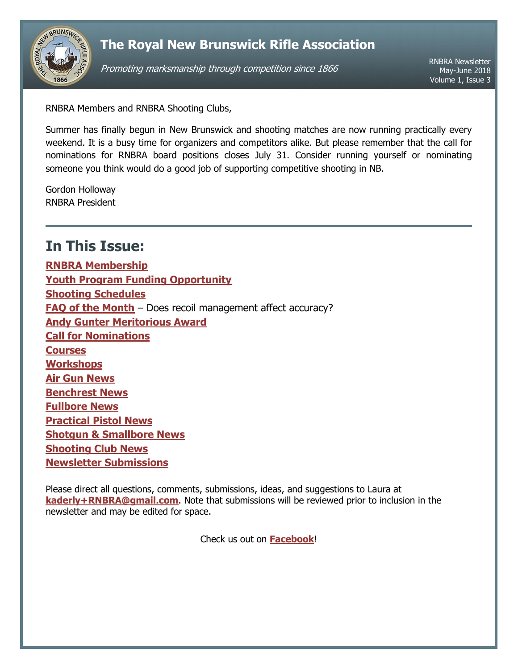

## **The Royal New Brunswick Rifle Association**

Promoting marksmanship through competition since 1866

RNBRA Newsletter May-June 2018 Volume 1, Issue 3

RNBRA Members and RNBRA Shooting Clubs,

Summer has finally begun in New Brunswick and shooting matches are now running practically every weekend. It is a busy time for organizers and competitors alike. But please remember that the call for nominations for RNBRA board positions closes July 31. Consider running yourself or nominating someone you think would do a good job of supporting competitive shooting in NB.

Gordon Holloway RNBRA President

# <span id="page-0-0"></span>**In This Issue:**

**[RNBRA Membership](#page-1-0) [Youth Program Funding Opportunity](#page-1-1) [Shooting Schedules](#page-1-2) [FAQ of the Month](#page-2-0)** – Does recoil management affect accuracy? **[Andy Gunter Meritorious Award](#page-3-0) [Call for Nominations](#page-3-1) [Courses](#page-3-2) [Workshops](#page-4-0) [Air Gun](#page-4-1) News [Benchrest News](#page-4-2) [Fullbore News](#page-4-3) [Practical Pistol](#page-5-0) News Shotgun [& Smallbore](#page-6-0) News [Shooting Club News](#page-6-1) [Newsletter Submissions](#page-6-2)**

Please direct all questions, comments, submissions, ideas, and suggestions to Laura at **[kaderly+RNBRA@gmail.com](mailto:kaderly+RNBRA@gmail.com?subject=RNBRA%20Newsletter)**. Note that submissions will be reviewed prior to inclusion in the newsletter and may be edited for space.

Check us out on **[Facebook](http://www.facebook.com/RNBRA)**!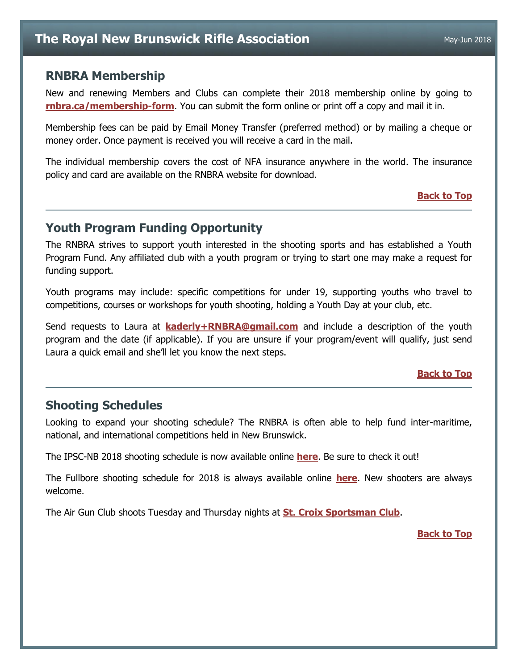### <span id="page-1-0"></span>**RNBRA Membership**

New and renewing Members and Clubs can complete their 2018 membership online by going to **[rnbra.ca/membership-form](http://rnbra.ca/membership-form/)**. You can submit the form online or print off a copy and mail it in.

Membership fees can be paid by Email Money Transfer (preferred method) or by mailing a cheque or money order. Once payment is received you will receive a card in the mail.

The individual membership covers the cost of NFA insurance anywhere in the world. The insurance policy and card are available on the RNBRA website for download.

### **[Back to](#page-0-0) Top**

## <span id="page-1-1"></span>**Youth Program Funding Opportunity**

The RNBRA strives to support youth interested in the shooting sports and has established a Youth Program Fund. Any affiliated club with a youth program or trying to start one may make a request for funding support.

Youth programs may include: specific competitions for under 19, supporting youths who travel to competitions, courses or workshops for youth shooting, holding a Youth Day at your club, etc.

Send requests to Laura at **[kaderly+RNBRA@gmail.com](mailto:kaderly+RNBRA@gmail.com?subject=Youth%20Program%20Funding)** and include a description of the youth program and the date (if applicable). If you are unsure if your program/event will qualify, just send Laura a quick email and she'll let you know the next steps.

### **[Back to Top](#page-0-0)**

## <span id="page-1-2"></span>**Shooting Schedules**

Looking to expand your shooting schedule? The RNBRA is often able to help fund inter-maritime, national, and international competitions held in New Brunswick.

The IPSC-NB 2018 shooting schedule is now available online **[here](http://www.ipscnb.ca/prod/images/formsanddocuments/2018%20IPSC%20NB%20Schedule.pdf)**. Be sure to check it out!

The Fullbore shooting schedule for 2018 is always available online **[here](https://docs.google.com/document/d/1axJu328xggVM8xT1e30vrgMw5i4zQF0P8i0i8G5yCuI/edit?usp=sharing)**. New shooters are always welcome.

The Air Gun Club shoots Tuesday and Thursday nights at **[St. Croix Sportsman Club](http://www.stcroixsportsmanclub.com/)**.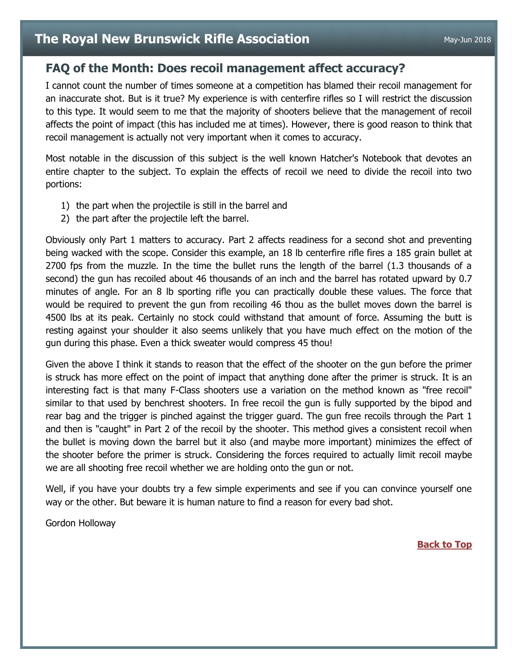## <span id="page-2-0"></span>**FAQ of the Month: Does recoil management affect accuracy?**

I cannot count the number of times someone at a competition has blamed their recoil management for an inaccurate shot. But is it true? My experience is with centerfire rifles so I will restrict the discussion to this type. It would seem to me that the majority of shooters believe that the management of recoil affects the point of impact (this has included me at times). However, there is good reason to think that recoil management is actually not very important when it comes to accuracy.

Most notable in the discussion of this subject is the well known Hatcher's Notebook that devotes an entire chapter to the subject. To explain the effects of recoil we need to divide the recoil into two portions:

- 1) the part when the projectile is still in the barrel and
- 2) the part after the projectile left the barrel.

Obviously only Part 1 matters to accuracy. Part 2 affects readiness for a second shot and preventing being wacked with the scope. Consider this example, an 18 lb centerfire rifle fires a 185 grain bullet at 2700 fps from the muzzle. In the time the bullet runs the length of the barrel (1.3 thousands of a second) the gun has recoiled about 46 thousands of an inch and the barrel has rotated upward by 0.7 minutes of angle. For an 8 lb sporting rifle you can practically double these values. The force that would be required to prevent the gun from recoiling 46 thou as the bullet moves down the barrel is 4500 lbs at its peak. Certainly no stock could withstand that amount of force. Assuming the butt is resting against your shoulder it also seems unlikely that you have much effect on the motion of the gun during this phase. Even a thick sweater would compress 45 thou!

Given the above I think it stands to reason that the effect of the shooter on the gun before the primer is struck has more effect on the point of impact that anything done after the primer is struck. It is an interesting fact is that many F-Class shooters use a variation on the method known as "free recoil" similar to that used by benchrest shooters. In free recoil the gun is fully supported by the bipod and rear bag and the trigger is pinched against the trigger guard. The gun free recoils through the Part 1 and then is "caught" in Part 2 of the recoil by the shooter. This method gives a consistent recoil when the bullet is moving down the barrel but it also (and maybe more important) minimizes the effect of the shooter before the primer is struck. Considering the forces required to actually limit recoil maybe we are all shooting free recoil whether we are holding onto the gun or not.

Well, if you have your doubts try a few simple experiments and see if you can convince yourself one way or the other. But beware it is human nature to find a reason for every bad shot.

Gordon Holloway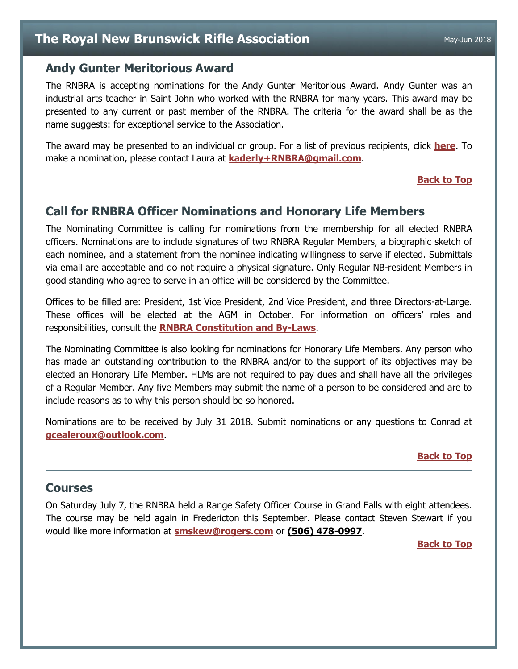## <span id="page-3-0"></span>**Andy Gunter Meritorious Award**

The RNBRA is accepting nominations for the Andy Gunter Meritorious Award. Andy Gunter was an industrial arts teacher in Saint John who worked with the RNBRA for many years. This award may be presented to any current or past member of the RNBRA. The criteria for the award shall be as the name suggests: for exceptional service to the Association.

The award may be presented to an individual or group. For a list of previous recipients, click **[here](http://rnbra.ca/about-rnbra/rnbra-trophies-and-medals-1861-to-present/)**. To make a nomination, please contact Laura at **[kaderly+RNBRA@gmail.com](mailto:kaderly+RNBRA@gmail.com?subject=Andy%20Gunter%20Meritorious%20Award)**.

#### **[Back to Top](#page-0-0)**

### <span id="page-3-1"></span>**Call for RNBRA Officer Nominations and Honorary Life Members**

The Nominating Committee is calling for nominations from the membership for all elected RNBRA officers. Nominations are to include signatures of two RNBRA Regular Members, a biographic sketch of each nominee, and a statement from the nominee indicating willingness to serve if elected. Submittals via email are acceptable and do not require a physical signature. Only Regular NB-resident Members in good standing who agree to serve in an office will be considered by the Committee.

Offices to be filled are: President, 1st Vice President, 2nd Vice President, and three Directors-at-Large. These offices will be elected at the AGM in October. For information on officers' roles and responsibilities, consult the **[RNBRA Constitution and By-Laws](http://rnbra.ca/about-rnbra/constitution-and-bylaws/)**.

The Nominating Committee is also looking for nominations for Honorary Life Members. Any person who has made an outstanding contribution to the RNBRA and/or to the support of its objectives may be elected an Honorary Life Member. HLMs are not required to pay dues and shall have all the privileges of a Regular Member. Any five Members may submit the name of a person to be considered and are to include reasons as to why this person should be so honored.

Nominations are to be received by July 31 2018. Submit nominations or any questions to Conrad at **[gcealeroux@outlook.com](mailto:gcealeroux@outlook.com?subject=RNBRA%20Nominations)**.

#### **[Back to Top](#page-0-0)**

### <span id="page-3-2"></span>**Courses**

On Saturday July 7, the RNBRA held a Range Safety Officer Course in Grand Falls with eight attendees. The course may be held again in Fredericton this September. Please contact Steven Stewart if you would like more information at **[smskew@rogers.com](mailto:smskew@rogers.com?subject=RSO%20Course)** or **(506) 478-0997**.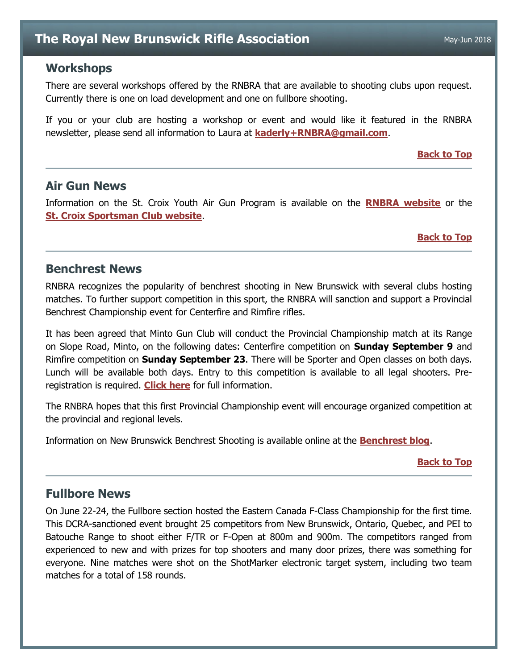## **The Royal New Brunswick Rifle Association** May-Jun 2018

### <span id="page-4-0"></span>**Workshops**

There are several workshops offered by the RNBRA that are available to shooting clubs upon request. Currently there is one on load development and one on fullbore shooting.

If you or your club are hosting a workshop or event and would like it featured in the RNBRA newsletter, please send all information to Laura at **[kaderly+RNBRA@gmail.com](mailto:kaderly+RNBRA@gmail.com?subject=Newsletter-Workshop)**.

#### **[Back to Top](#page-0-0)**

### <span id="page-4-1"></span>**Air Gun News**

Information on the St. Croix Youth Air Gun Program is available on the **[RNBRA website](http://rnbra.ca/)** or the **[St. Croix Sportsman Club website](http://www.stcroixsportsmanclub.com/apps/blog/categories/show/1610968-youth-airgun)**.

#### **[Back to Top](#page-0-0)**

### <span id="page-4-2"></span>**Benchrest News**

RNBRA recognizes the popularity of benchrest shooting in New Brunswick with several clubs hosting matches. To further support competition in this sport, the RNBRA will sanction and support a Provincial Benchrest Championship event for Centerfire and Rimfire rifles.

It has been agreed that Minto Gun Club will conduct the Provincial Championship match at its Range on Slope Road, Minto, on the following dates: Centerfire competition on **Sunday September 9** and Rimfire competition on **Sunday September 23**. There will be Sporter and Open classes on both days. Lunch will be available both days. Entry to this competition is available to all legal shooters. Preregistration is required. **[Click here](https://docs.google.com/document/d/1J-AjknyG5moRMxM94FDFySgkQpyh8gvwpASOPKEerxo/edit?usp=sharing)** for full information.

The RNBRA hopes that this first Provincial Championship event will encourage organized competition at the provincial and regional levels.

Information on New Brunswick Benchrest Shooting is available online at the **[Benchrest blog](http://newbrunswick-benchrest.blogspot.ca/)**.

#### **[Back to Top](#page-0-0)**

### <span id="page-4-3"></span>**Fullbore News**

On June 22-24, the Fullbore section hosted the Eastern Canada F-Class Championship for the first time. This DCRA-sanctioned event brought 25 competitors from New Brunswick, Ontario, Quebec, and PEI to Batouche Range to shoot either F/TR or F-Open at 800m and 900m. The competitors ranged from experienced to new and with prizes for top shooters and many door prizes, there was something for everyone. Nine matches were shot on the ShotMarker electronic target system, including two team matches for a total of 158 rounds.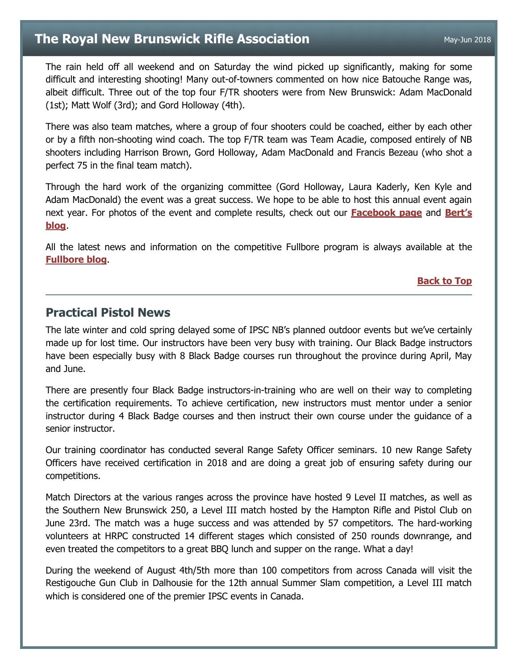## **The Royal New Brunswick Rifle Association** May-Jun 2018

The rain held off all weekend and on Saturday the wind picked up significantly, making for some difficult and interesting shooting! Many out-of-towners commented on how nice Batouche Range was, albeit difficult. Three out of the top four F/TR shooters were from New Brunswick: Adam MacDonald (1st); Matt Wolf (3rd); and Gord Holloway (4th).

There was also team matches, where a group of four shooters could be coached, either by each other or by a fifth non-shooting wind coach. The top F/TR team was Team Acadie, composed entirely of NB shooters including Harrison Brown, Gord Holloway, Adam MacDonald and Francis Bezeau (who shot a perfect 75 in the final team match).

Through the hard work of the organizing committee (Gord Holloway, Laura Kaderly, Ken Kyle and Adam MacDonald) the event was a great success. We hope to be able to host this annual event again next year. For photos of the event and complete results, check out our **[Facebook page](https://www.facebook.com/easternfclass)** and **[Bert's](http://rnbrafullbore.blogspot.com/2018/07/june-22-24-2018-batouche-eastern-f.html)  [blog](http://rnbrafullbore.blogspot.com/2018/07/june-22-24-2018-batouche-eastern-f.html)**.

All the latest news and information on the competitive Fullbore program is always available at the **[Fullbore blog](http://rnbrafullbore.blogspot.ca/)**.

#### **[Back to Top](#page-0-0)**

### <span id="page-5-0"></span>**Practical Pistol News**

The late winter and cold spring delayed some of IPSC NB's planned outdoor events but we've certainly made up for lost time. Our instructors have been very busy with training. Our Black Badge instructors have been especially busy with 8 Black Badge courses run throughout the province during April, May and June.

There are presently four Black Badge instructors-in-training who are well on their way to completing the certification requirements. To achieve certification, new instructors must mentor under a senior instructor during 4 Black Badge courses and then instruct their own course under the guidance of a senior instructor.

Our training coordinator has conducted several Range Safety Officer seminars. 10 new Range Safety Officers have received certification in 2018 and are doing a great job of ensuring safety during our competitions.

Match Directors at the various ranges across the province have hosted 9 Level II matches, as well as the Southern New Brunswick 250, a Level III match hosted by the Hampton Rifle and Pistol Club on June 23rd. The match was a huge success and was attended by 57 competitors. The hard-working volunteers at HRPC constructed 14 different stages which consisted of 250 rounds downrange, and even treated the competitors to a great BBQ lunch and supper on the range. What a day!

During the weekend of August 4th/5th more than 100 competitors from across Canada will visit the Restigouche Gun Club in Dalhousie for the 12th annual Summer Slam competition, a Level III match which is considered one of the premier IPSC events in Canada.